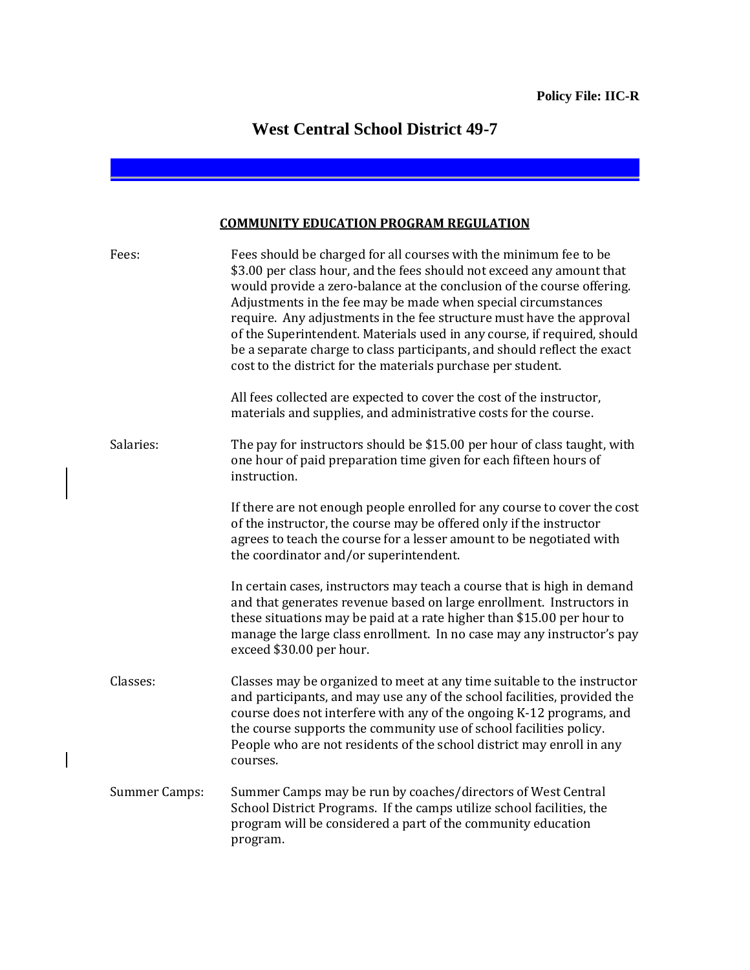## **West Central School District 49-7**

## **COMMUNITY EDUCATION PROGRAM REGULATION**

| Fees:                | Fees should be charged for all courses with the minimum fee to be<br>\$3.00 per class hour, and the fees should not exceed any amount that<br>would provide a zero-balance at the conclusion of the course offering.<br>Adjustments in the fee may be made when special circumstances<br>require. Any adjustments in the fee structure must have the approval<br>of the Superintendent. Materials used in any course, if required, should<br>be a separate charge to class participants, and should reflect the exact<br>cost to the district for the materials purchase per student. |
|----------------------|---------------------------------------------------------------------------------------------------------------------------------------------------------------------------------------------------------------------------------------------------------------------------------------------------------------------------------------------------------------------------------------------------------------------------------------------------------------------------------------------------------------------------------------------------------------------------------------|
|                      | All fees collected are expected to cover the cost of the instructor,<br>materials and supplies, and administrative costs for the course.                                                                                                                                                                                                                                                                                                                                                                                                                                              |
| Salaries:            | The pay for instructors should be \$15.00 per hour of class taught, with<br>one hour of paid preparation time given for each fifteen hours of<br>instruction.                                                                                                                                                                                                                                                                                                                                                                                                                         |
|                      | If there are not enough people enrolled for any course to cover the cost<br>of the instructor, the course may be offered only if the instructor<br>agrees to teach the course for a lesser amount to be negotiated with<br>the coordinator and/or superintendent.                                                                                                                                                                                                                                                                                                                     |
|                      | In certain cases, instructors may teach a course that is high in demand<br>and that generates revenue based on large enrollment. Instructors in<br>these situations may be paid at a rate higher than \$15.00 per hour to<br>manage the large class enrollment. In no case may any instructor's pay<br>exceed \$30.00 per hour.                                                                                                                                                                                                                                                       |
| Classes:             | Classes may be organized to meet at any time suitable to the instructor<br>and participants, and may use any of the school facilities, provided the<br>course does not interfere with any of the ongoing K-12 programs, and<br>the course supports the community use of school facilities policy.<br>People who are not residents of the school district may enroll in any<br>courses.                                                                                                                                                                                                |
| <b>Summer Camps:</b> | Summer Camps may be run by coaches/directors of West Central<br>School District Programs. If the camps utilize school facilities, the<br>program will be considered a part of the community education<br>program.                                                                                                                                                                                                                                                                                                                                                                     |

 $\overline{\phantom{a}}$